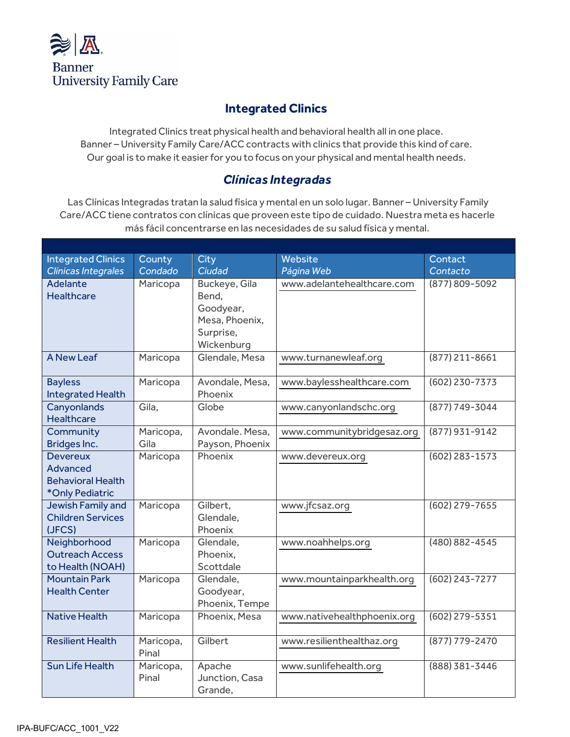

## **Integrated Clinics**

Integrated Clinics treat physical health and behavioral health all in one place. Banner – University Family Care/ACC contracts with clinics that provide this kind of care. Our goal is to make it easier for you to focus on your physical and mental health needs.

## *Clínicas Integradas*

Las Clínicas Integradas tratan la salud física y mental en un solo lugar. Banner – University Family Care/ACC tiene contratos con clínicas que proveen este tipo de cuidado. Nuestra meta es hacerle más fácil concentrarse en las necesidades de su salud física y mental.

| <b>Integrated Clinics</b><br>Clínicas Integrales | County<br>Condado | City<br>Ciudad              | Website<br>Página Web       | Contact<br>Contacto |
|--------------------------------------------------|-------------------|-----------------------------|-----------------------------|---------------------|
| Adelante                                         |                   |                             | www.adelantehealthcare.com  |                     |
| <b>Healthcare</b>                                | Maricopa          | Buckeye, Gila<br>Bend,      |                             | (877) 809-5092      |
|                                                  |                   | Goodyear,                   |                             |                     |
|                                                  |                   | Mesa, Phoenix,              |                             |                     |
|                                                  |                   | Surprise,                   |                             |                     |
|                                                  |                   | Wickenburg                  |                             |                     |
| <b>A New Leaf</b>                                | Maricopa          | Glendale, Mesa              | www.turnanewleaf.org        | $(877)$ 211-8661    |
|                                                  |                   |                             |                             |                     |
| <b>Bayless</b>                                   | Maricopa          | Avondale, Mesa,             | www.baylesshealthcare.com   | (602) 230-7373      |
| Integrated Health                                |                   | Phoenix                     |                             |                     |
| Canyonlands                                      | Gila.             | Globe                       | www.canyonlandschc.org      | (877) 749-3044      |
| <b>Healthcare</b>                                |                   |                             |                             |                     |
| Community                                        | Maricopa,         | Avondale. Mesa,             | www.communitybridgesaz.org  | (877) 931-9142      |
| Bridges Inc.                                     | Gila              | Payson, Phoenix             |                             |                     |
| <b>Devereux</b>                                  | Maricopa          | Phoenix                     | www.devereux.org            | $(602)$ 283-1573    |
| <b>Advanced</b>                                  |                   |                             |                             |                     |
| <b>Behavioral Health</b>                         |                   |                             |                             |                     |
| *Only Pediatric                                  |                   |                             |                             |                     |
| Jewish Family and                                | Maricopa          | Gilbert,                    | www.jfcsaz.org              | $(602)$ 279-7655    |
| <b>Children Services</b>                         |                   | Glendale,                   |                             |                     |
| (JFCS)                                           |                   | Phoenix                     |                             |                     |
| Neighborhood                                     | Maricopa          | Glendale,                   | www.noahhelps.org           | $(480) 882 - 4545$  |
| <b>Outreach Access</b>                           |                   | Phoenix.                    |                             |                     |
| to Health (NOAH)                                 |                   | Scottdale                   |                             |                     |
| <b>Mountain Park</b><br><b>Health Center</b>     | Maricopa          | Glendale,                   | www.mountainparkhealth.org  | $(602)$ 243-7277    |
|                                                  |                   | Goodyear,<br>Phoenix, Tempe |                             |                     |
| <b>Native Health</b>                             |                   | Phoenix, Mesa               | www.nativehealthphoenix.org | (602) 279-5351      |
|                                                  | Maricopa          |                             |                             |                     |
| <b>Resilient Health</b>                          | Maricopa,         | Gilbert                     | www.resilienthealthaz.org   | (877) 779-2470      |
|                                                  | Pinal             |                             |                             |                     |
| <b>Sun Life Health</b>                           | Maricopa,         | Apache                      | www.sunlifehealth.org       | (888) 381-3446      |
|                                                  | Pinal             | Junction, Casa              |                             |                     |
|                                                  |                   | Grande,                     |                             |                     |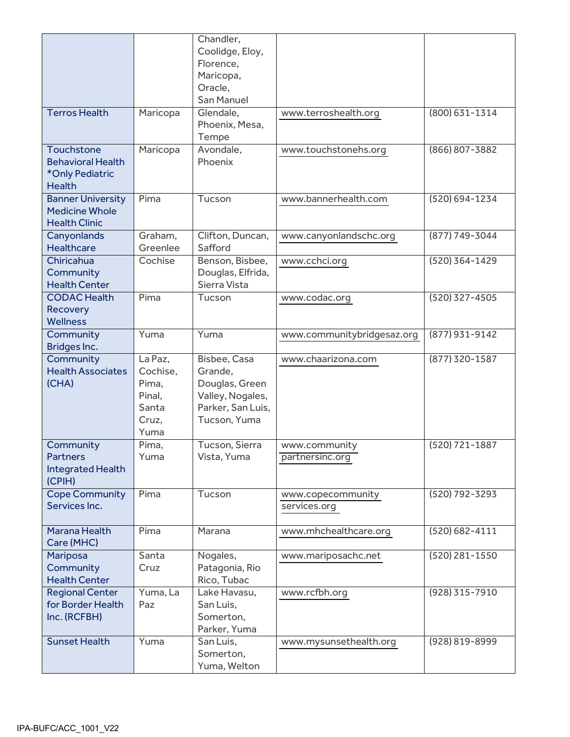|                                                                            |                                                                  | Chandler,<br>Coolidge, Eloy,<br>Florence,<br>Maricopa,                                             |                                   |                    |
|----------------------------------------------------------------------------|------------------------------------------------------------------|----------------------------------------------------------------------------------------------------|-----------------------------------|--------------------|
|                                                                            |                                                                  | Oracle,<br>San Manuel                                                                              |                                   |                    |
| <b>Terros Health</b>                                                       | Maricopa                                                         | Glendale,<br>Phoenix, Mesa,<br>Tempe                                                               | www.terroshealth.org              | (800) 631-1314     |
| Touchstone<br><b>Behavioral Health</b><br>*Only Pediatric<br><b>Health</b> | Maricopa                                                         | Avondale,<br>Phoenix                                                                               | www.touchstonehs.org              | (866) 807-3882     |
| <b>Banner University</b><br><b>Medicine Whole</b><br><b>Health Clinic</b>  | Pima                                                             | Tucson                                                                                             | www.bannerhealth.com              | (520) 694-1234     |
| Canyonlands<br><b>Healthcare</b>                                           | Graham.<br>Greenlee                                              | Clifton, Duncan,<br>Safford                                                                        | www.canyonlandschc.org            | (877) 749-3044     |
| Chiricahua<br>Community<br><b>Health Center</b>                            | Cochise                                                          | Benson, Bisbee,<br>Douglas, Elfrida,<br>Sierra Vista                                               | www.cchci.org                     | (520) 364-1429     |
| <b>CODAC Health</b><br>Recovery<br><b>Wellness</b>                         | Pima                                                             | Tucson                                                                                             | www.codac.org                     | (520) 327-4505     |
| Community<br>Bridges Inc.                                                  | Yuma                                                             | Yuma                                                                                               | www.communitybridgesaz.org        | (877) 931-9142     |
| Community<br><b>Health Associates</b><br>(CHA)                             | La Paz,<br>Cochise,<br>Pima.<br>Pinal,<br>Santa<br>Cruz,<br>Yuma | Bisbee, Casa<br>Grande,<br>Douglas, Green<br>Valley, Nogales,<br>Parker, San Luis,<br>Tucson, Yuma | www.chaarizona.com                | (877) 320-1587     |
| Community<br><b>Partners</b><br>Integrated Health<br>(CPIH)                | Pima,<br>Yuma                                                    | Tucson, Sierra<br>Vista, Yuma                                                                      | www.community<br>partnersinc.org  | (520) 721-1887     |
| <b>Cope Community</b><br>Services Inc.                                     | Pima                                                             | Tucson                                                                                             | www.copecommunity<br>services.org | (520) 792-3293     |
| Marana Health<br>Care (MHC)                                                | Pima                                                             | Marana                                                                                             | www.mhchealthcare.org             | $(520) 682 - 4111$ |
| <b>Mariposa</b><br>Community<br><b>Health Center</b>                       | Santa<br>Cruz                                                    | Nogales,<br>Patagonia, Rio<br>Rico, Tubac                                                          | www.mariposachc.net               | (520) 281-1550     |
| <b>Regional Center</b><br>for Border Health<br>Inc. (RCFBH)                | Yuma, La<br>Paz                                                  | Lake Havasu,<br>San Luis,<br>Somerton,<br>Parker, Yuma                                             | www.rcfbh.org                     | (928) 315-7910     |
| <b>Sunset Health</b>                                                       | Yuma                                                             | San Luis,<br>Somerton,<br>Yuma, Welton                                                             | www.mysunsethealth.org            | (928) 819-8999     |